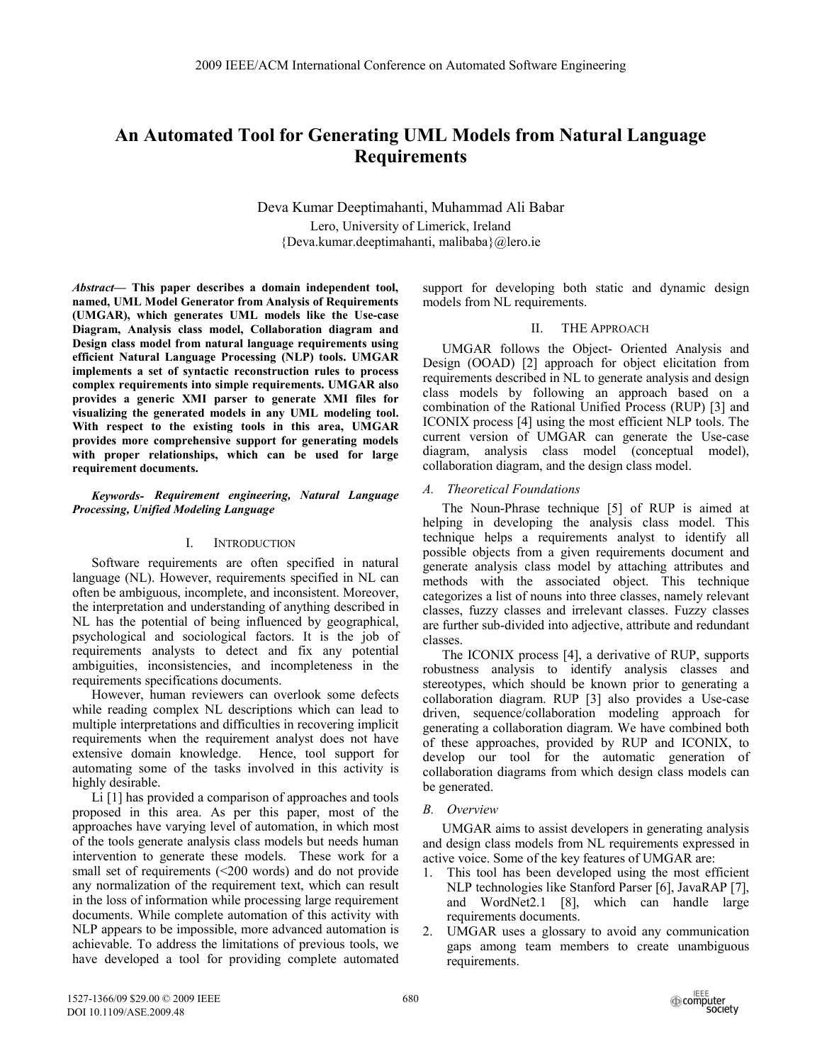# **An Automated Tool for Generating UML Models from Natural Language Requirements**

Deva Kumar Deeptimahanti, Muhammad Ali Babar Lero, University of Limerick, Ireland {Deva.kumar.deeptimahanti, malibaba}@lero.ie

*Abstract***— This paper describes a domain independent tool, named, UML Model Generator from Analysis of Requirements (UMGAR), which generates UML models like the Use-case Diagram, Analysis class model, Collaboration diagram and Design class model from natural language requirements using efficient Natural Language Processing (NLP) tools. UMGAR implements a set of syntactic reconstruction rules to process complex requirements into simple requirements. UMGAR also provides a generic XMI parser to generate XMI files for visualizing the generated models in any UML modeling tool. With respect to the existing tools in this area, UMGAR provides more comprehensive support for generating models with proper relationships, which can be used for large requirement documents.** 

### *Keywords- Requirement engineering, Natural Language Processing, Unified Modeling Language*

## I. INTRODUCTION

Software requirements are often specified in natural language (NL). However, requirements specified in NL can often be ambiguous, incomplete, and inconsistent. Moreover, the interpretation and understanding of anything described in NL has the potential of being influenced by geographical, psychological and sociological factors. It is the job of requirements analysts to detect and fix any potential ambiguities, inconsistencies, and incompleteness in the requirements specifications documents.

However, human reviewers can overlook some defects while reading complex NL descriptions which can lead to multiple interpretations and difficulties in recovering implicit requirements when the requirement analyst does not have extensive domain knowledge. Hence, tool support for automating some of the tasks involved in this activity is highly desirable.

Li [1] has provided a comparison of approaches and tools proposed in this area. As per this paper, most of the approaches have varying level of automation, in which most of the tools generate analysis class models but needs human intervention to generate these models. These work for a small set of requirements (<200 words) and do not provide any normalization of the requirement text, which can result in the loss of information while processing large requirement documents. While complete automation of this activity with NLP appears to be impossible, more advanced automation is achievable. To address the limitations of previous tools, we have developed a tool for providing complete automated

support for developing both static and dynamic design models from NL requirements.

# II. THE APPROACH

UMGAR follows the Object- Oriented Analysis and Design (OOAD) [2] approach for object elicitation from requirements described in NL to generate analysis and design class models by following an approach based on a combination of the Rational Unified Process (RUP) [3] and ICONIX process [4] using the most efficient NLP tools. The current version of UMGAR can generate the Use-case diagram, analysis class model (conceptual model), collaboration diagram, and the design class model.

# *A. Theoretical Foundations*

The Noun-Phrase technique [5] of RUP is aimed at helping in developing the analysis class model. This technique helps a requirements analyst to identify all possible objects from a given requirements document and generate analysis class model by attaching attributes and methods with the associated object. This technique categorizes a list of nouns into three classes, namely relevant classes, fuzzy classes and irrelevant classes. Fuzzy classes are further sub-divided into adjective, attribute and redundant classes.

The ICONIX process [4], a derivative of RUP, supports robustness analysis to identify analysis classes and stereotypes, which should be known prior to generating a collaboration diagram. RUP [3] also provides a Use-case driven, sequence/collaboration modeling approach for generating a collaboration diagram. We have combined both of these approaches, provided by RUP and ICONIX, to develop our tool for the automatic generation of collaboration diagrams from which design class models can be generated.

## *B. Overview*

UMGAR aims to assist developers in generating analysis and design class models from NL requirements expressed in active voice. Some of the key features of UMGAR are:

- 1. This tool has been developed using the most efficient NLP technologies like Stanford Parser [6], JavaRAP [7], and WordNet2.1 [8], which can handle large requirements documents.
- 2. UMGAR uses a glossary to avoid any communication gaps among team members to create unambiguous requirements.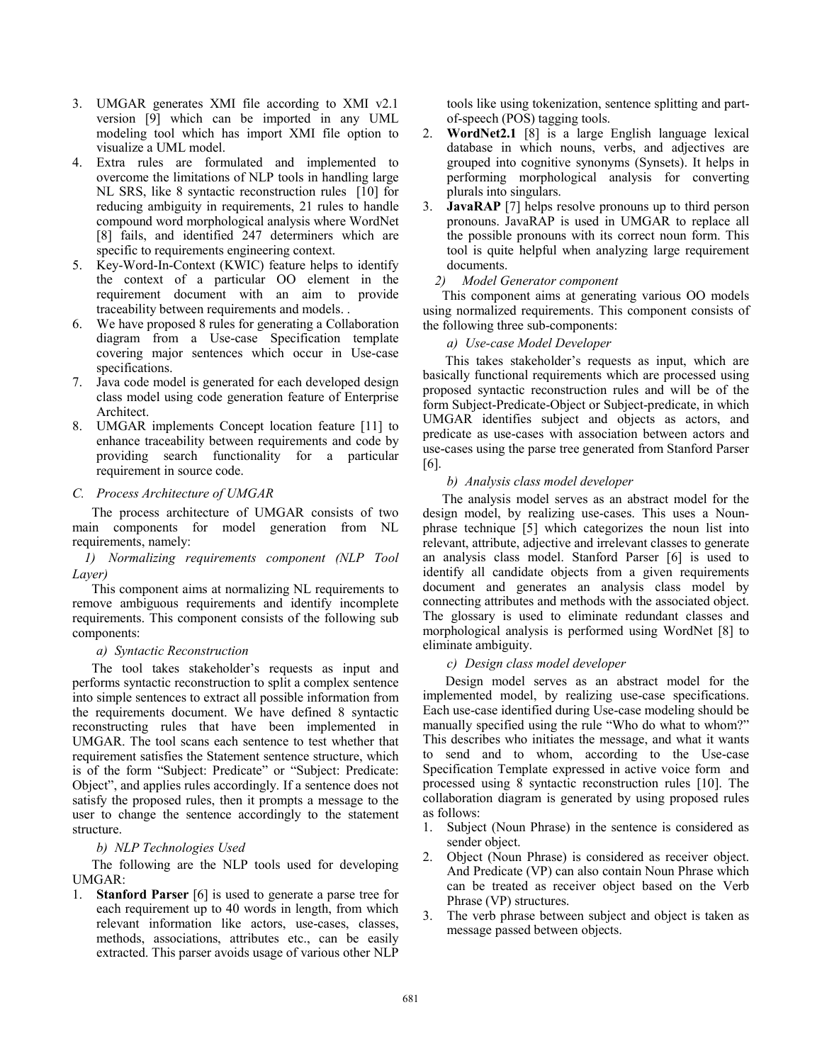- 3. UMGAR generates XMI file according to XMI v2.1 version [9] which can be imported in any UML modeling tool which has import XMI file option to visualize a UML model.
- Extra rules are formulated and implemented to overcome the limitations of NLP tools in handling large NL SRS, like 8 syntactic reconstruction rules [10] for reducing ambiguity in requirements, 21 rules to handle compound word morphological analysis where WordNet [8] fails, and identified 247 determiners which are specific to requirements engineering context.
- 5. Key-Word-In-Context (KWIC) feature helps to identify the context of a particular OO element in the requirement document with an aim to provide traceability between requirements and models. .
- 6. We have proposed 8 rules for generating a Collaboration diagram from a Use-case Specification template covering major sentences which occur in Use-case specifications.
- 7. Java code model is generated for each developed design class model using code generation feature of Enterprise Architect.
- 8. UMGAR implements Concept location feature [11] to enhance traceability between requirements and code by providing search functionality for a particular requirement in source code.

# *C. Process Architecture of UMGAR*

The process architecture of UMGAR consists of two main components for model generation from NL requirements, namely:

*1) Normalizing requirements component (NLP Tool Layer)* 

This component aims at normalizing NL requirements to remove ambiguous requirements and identify incomplete requirements. This component consists of the following sub components:

# *a) Syntactic Reconstruction*

The tool takes stakeholder's requests as input and performs syntactic reconstruction to split a complex sentence into simple sentences to extract all possible information from the requirements document. We have defined 8 syntactic reconstructing rules that have been implemented in UMGAR. The tool scans each sentence to test whether that requirement satisfies the Statement sentence structure, which is of the form "Subject: Predicate" or "Subject: Predicate: Object", and applies rules accordingly. If a sentence does not satisfy the proposed rules, then it prompts a message to the user to change the sentence accordingly to the statement structure.

# *b) NLP Technologies Used*

The following are the NLP tools used for developing UMGAR:

1. **Stanford Parser** [6] is used to generate a parse tree for each requirement up to 40 words in length, from which relevant information like actors, use-cases, classes, methods, associations, attributes etc., can be easily extracted. This parser avoids usage of various other NLP

tools like using tokenization, sentence splitting and partof-speech (POS) tagging tools.

- 2. **WordNet2.1** [8] is a large English language lexical database in which nouns, verbs, and adjectives are grouped into cognitive synonyms (Synsets). It helps in performing morphological analysis for converting plurals into singulars.
- 3. **JavaRAP** [7] helps resolve pronouns up to third person pronouns. JavaRAP is used in UMGAR to replace all the possible pronouns with its correct noun form. This tool is quite helpful when analyzing large requirement documents.

# *2) Model Generator component*

This component aims at generating various OO models using normalized requirements. This component consists of the following three sub-components:

# *a) Use-case Model Developer*

 This takes stakeholder's requests as input, which are basically functional requirements which are processed using proposed syntactic reconstruction rules and will be of the form Subject-Predicate-Object or Subject-predicate, in which UMGAR identifies subject and objects as actors, and predicate as use-cases with association between actors and use-cases using the parse tree generated from Stanford Parser [6].

# *b) Analysis class model developer*

The analysis model serves as an abstract model for the design model, by realizing use-cases. This uses a Nounphrase technique [5] which categorizes the noun list into relevant, attribute, adjective and irrelevant classes to generate an analysis class model. Stanford Parser [6] is used to identify all candidate objects from a given requirements document and generates an analysis class model by connecting attributes and methods with the associated object. The glossary is used to eliminate redundant classes and morphological analysis is performed using WordNet [8] to eliminate ambiguity.

# *c) Design class model developer*

 Design model serves as an abstract model for the implemented model, by realizing use-case specifications. Each use-case identified during Use-case modeling should be manually specified using the rule "Who do what to whom?" This describes who initiates the message, and what it wants to send and to whom, according to the Use-case Specification Template expressed in active voice form and processed using 8 syntactic reconstruction rules [10]. The collaboration diagram is generated by using proposed rules as follows:

- 1. Subject (Noun Phrase) in the sentence is considered as sender object.
- 2. Object (Noun Phrase) is considered as receiver object. And Predicate (VP) can also contain Noun Phrase which can be treated as receiver object based on the Verb Phrase (VP) structures.
- 3. The verb phrase between subject and object is taken as message passed between objects.